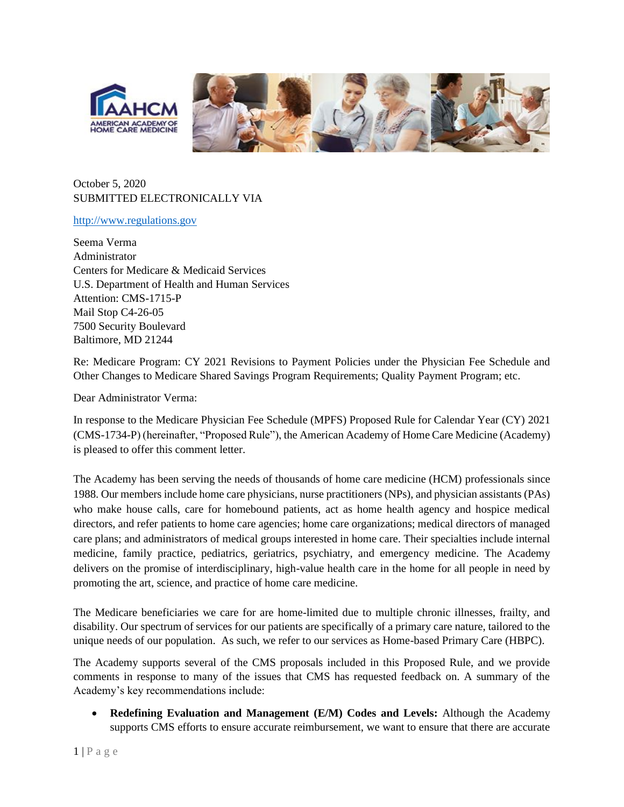

## October 5, 2020 SUBMITTED ELECTRONICALLY VIA

#### [http://www.regulations.gov](http://www.regulations.gov/)

Seema Verma Administrator Centers for Medicare & Medicaid Services U.S. Department of Health and Human Services Attention: CMS-1715-P Mail Stop C4-26-05 7500 Security Boulevard Baltimore, MD 21244

Re: Medicare Program: CY 2021 Revisions to Payment Policies under the Physician Fee Schedule and Other Changes to Medicare Shared Savings Program Requirements; Quality Payment Program; etc.

Dear Administrator Verma:

In response to the Medicare Physician Fee Schedule (MPFS) Proposed Rule for Calendar Year (CY) 2021 (CMS-1734-P) (hereinafter, "Proposed Rule"), the American Academy of Home Care Medicine (Academy) is pleased to offer this comment letter.

The Academy has been serving the needs of thousands of home care medicine (HCM) professionals since 1988. Our members include home care physicians, nurse practitioners (NPs), and physician assistants (PAs) who make house calls, care for homebound patients, act as home health agency and hospice medical directors, and refer patients to home care agencies; home care organizations; medical directors of managed care plans; and administrators of medical groups interested in home care. Their specialties include internal medicine, family practice, pediatrics, geriatrics, psychiatry, and emergency medicine. The Academy delivers on the promise of interdisciplinary, high-value health care in the home for all people in need by promoting the art, science, and practice of home care medicine.

The Medicare beneficiaries we care for are home-limited due to multiple chronic illnesses, frailty, and disability. Our spectrum of services for our patients are specifically of a primary care nature, tailored to the unique needs of our population. As such, we refer to our services as Home-based Primary Care (HBPC).

The Academy supports several of the CMS proposals included in this Proposed Rule, and we provide comments in response to many of the issues that CMS has requested feedback on. A summary of the Academy's key recommendations include:

• **Redefining Evaluation and Management (E/M) Codes and Levels:** Although the Academy supports CMS efforts to ensure accurate reimbursement, we want to ensure that there are accurate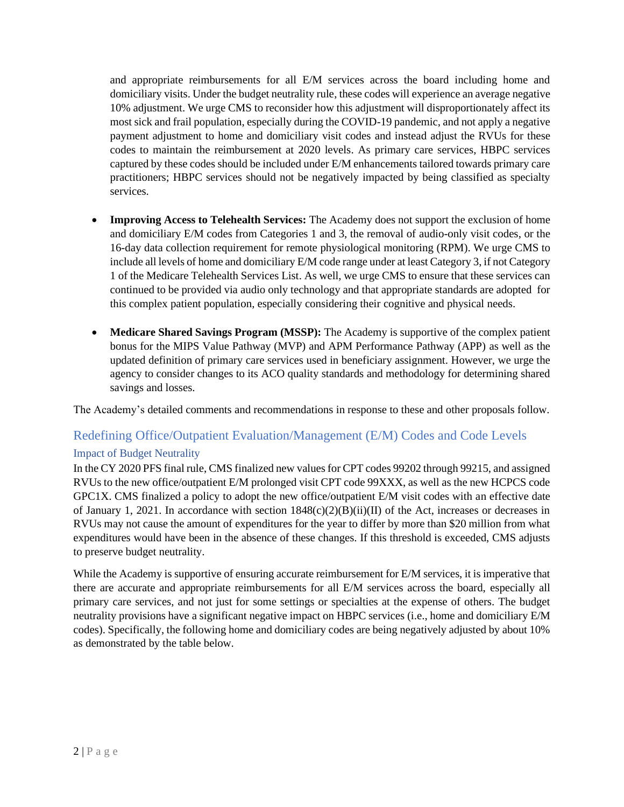and appropriate reimbursements for all E/M services across the board including home and domiciliary visits. Under the budget neutrality rule, these codes will experience an average negative 10% adjustment. We urge CMS to reconsider how this adjustment will disproportionately affect its most sick and frail population, especially during the COVID-19 pandemic, and not apply a negative payment adjustment to home and domiciliary visit codes and instead adjust the RVUs for these codes to maintain the reimbursement at 2020 levels. As primary care services, HBPC services captured by these codes should be included under E/M enhancements tailored towards primary care practitioners; HBPC services should not be negatively impacted by being classified as specialty services.

- **Improving Access to Telehealth Services:** The Academy does not support the exclusion of home and domiciliary E/M codes from Categories 1 and 3, the removal of audio-only visit codes, or the 16-day data collection requirement for remote physiological monitoring (RPM). We urge CMS to include all levels of home and domiciliary E/M code range under at least Category 3, if not Category 1 of the Medicare Telehealth Services List. As well, we urge CMS to ensure that these services can continued to be provided via audio only technology and that appropriate standards are adopted for this complex patient population, especially considering their cognitive and physical needs.
- **Medicare Shared Savings Program (MSSP):** The Academy is supportive of the complex patient bonus for the MIPS Value Pathway (MVP) and APM Performance Pathway (APP) as well as the updated definition of primary care services used in beneficiary assignment. However, we urge the agency to consider changes to its ACO quality standards and methodology for determining shared savings and losses.

The Academy's detailed comments and recommendations in response to these and other proposals follow.

## Redefining Office/Outpatient Evaluation/Management (E/M) Codes and Code Levels

### Impact of Budget Neutrality

In the CY 2020 PFS final rule, CMS finalized new values for CPT codes 99202 through 99215, and assigned RVUs to the new office/outpatient E/M prolonged visit CPT code 99XXX, as well as the new HCPCS code GPC1X. CMS finalized a policy to adopt the new office/outpatient E/M visit codes with an effective date of January 1, 2021. In accordance with section 1848(c)(2)(B)(ii)(II) of the Act, increases or decreases in RVUs may not cause the amount of expenditures for the year to differ by more than \$20 million from what expenditures would have been in the absence of these changes. If this threshold is exceeded, CMS adjusts to preserve budget neutrality.

While the Academy is supportive of ensuring accurate reimbursement for E/M services, it is imperative that there are accurate and appropriate reimbursements for all E/M services across the board, especially all primary care services, and not just for some settings or specialties at the expense of others. The budget neutrality provisions have a significant negative impact on HBPC services (i.e., home and domiciliary E/M codes). Specifically, the following home and domiciliary codes are being negatively adjusted by about 10% as demonstrated by the table below.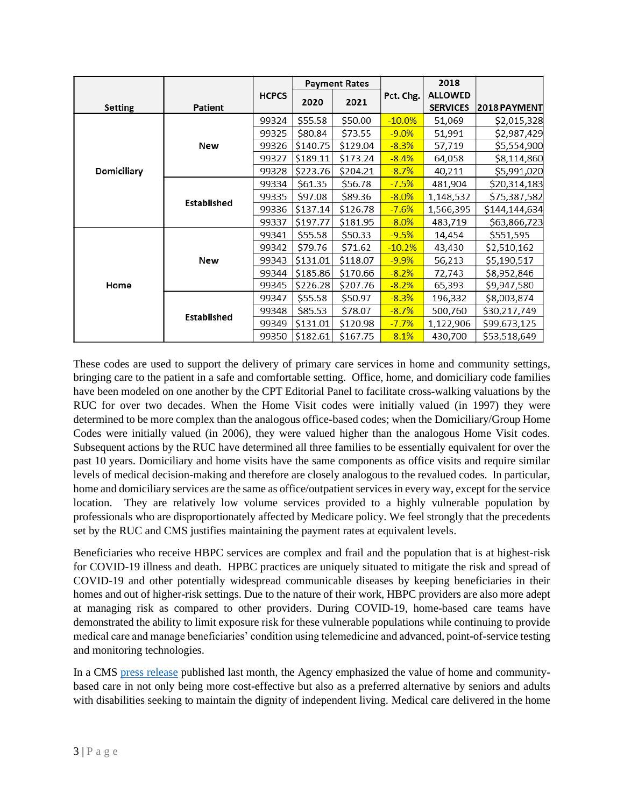|                    |                    |              | <b>Payment Rates</b> |          |           | 2018            |               |
|--------------------|--------------------|--------------|----------------------|----------|-----------|-----------------|---------------|
|                    |                    | <b>HCPCS</b> |                      | 2021     | Pct. Chg. | <b>ALLOWED</b>  |               |
| <b>Setting</b>     | Patient            |              | 2020                 |          |           | <b>SERVICES</b> | 2018 PAYMENT  |
|                    |                    | 99324        | \$55.58              | \$50.00  | $-10.0\%$ | 51,069          | \$2,015,328   |
|                    |                    | 99325        | \$80.84              | \$73.55  | $-9.0%$   | 51,991          | \$2,987,429   |
|                    | New                | 99326        | \$140.75             | \$129.04 | $-8.3%$   | 57,719          | \$5,554,900   |
| <b>Domiciliary</b> |                    | 99327        | \$189.11             | \$173.24 | $-8.4%$   | 64,058          | \$8,114,860   |
|                    |                    | 99328        | \$223.76             | \$204.21 | $-8.7%$   | 40,211          | \$5,991,020   |
|                    | <b>Established</b> | 99334        | \$61.35              | \$56.78  | $-7.5%$   | 481,904         | \$20,314,183  |
|                    |                    | 99335        | \$97.08              | \$89.36  | $-8.0%$   | 1,148,532       | \$75,387,582  |
|                    |                    | 99336        | \$137.14             | \$126.78 | $-7.6%$   | 1,566,395       | \$144,144,634 |
|                    |                    | 99337        | \$197.77             | \$181.95 | $-8.0%$   | 483,719         | \$63,866,723  |
| Home               | New                | 99341        | \$55.58              | \$50.33  | $-9.5%$   | 14,454          | \$551,595     |
|                    |                    | 99342        | \$79.76              | \$71.62  | $-10.2%$  | 43,430          | \$2,510,162   |
|                    |                    | 99343        | \$131.01             | \$118.07 | $-9.9%$   | 56,213          | \$5,190,517   |
|                    |                    | 99344        | \$185.86             | \$170.66 | $-8.2%$   | 72,743          | \$8,952,846   |
|                    |                    | 99345        | \$226.28             | \$207.76 | $-8.2%$   | 65,393          | \$9,947,580   |
|                    | <b>Established</b> | 99347        | \$55.58              | \$50.97  | $-8.3%$   | 196,332         | \$8,003,874   |
|                    |                    | 99348        | \$85.53              | \$78.07  | $-8.7%$   | 500,760         | \$30,217,749  |
|                    |                    | 99349        | \$131.01             | \$120.98 | $-7.7%$   | 1,122,906       | \$99,673,125  |
|                    |                    | 99350        | \$182.61             | \$167.75 | $-8.1%$   | 430,700         | \$53,518,649  |

These codes are used to support the delivery of primary care services in home and community settings, bringing care to the patient in a safe and comfortable setting. Office, home, and domiciliary code families have been modeled on one another by the CPT Editorial Panel to facilitate cross-walking valuations by the RUC for over two decades. When the Home Visit codes were initially valued (in 1997) they were determined to be more complex than the analogous office-based codes; when the Domiciliary/Group Home Codes were initially valued (in 2006), they were valued higher than the analogous Home Visit codes. Subsequent actions by the RUC have determined all three families to be essentially equivalent for over the past 10 years. Domiciliary and home visits have the same components as office visits and require similar levels of medical decision-making and therefore are closely analogous to the revalued codes. In particular, home and domiciliary services are the same as office/outpatient services in every way, except for the service location. They are relatively low volume services provided to a highly vulnerable population by professionals who are disproportionately affected by Medicare policy. We feel strongly that the precedents set by the RUC and CMS justifies maintaining the payment rates at equivalent levels.

Beneficiaries who receive HBPC services are complex and frail and the population that is at highest-risk for COVID-19 illness and death. HPBC practices are uniquely situated to mitigate the risk and spread of COVID-19 and other potentially widespread communicable diseases by keeping beneficiaries in their homes and out of higher-risk settings. Due to the nature of their work, HBPC providers are also more adept at managing risk as compared to other providers. During COVID-19, home-based care teams have demonstrated the ability to limit exposure risk for these vulnerable populations while continuing to provide medical care and manage beneficiaries' condition using telemedicine and advanced, point-of-service testing and monitoring technologies.

In a CMS [press release](https://www.cms.gov/newsroom/press-releases/cms-announces-new-federal-funding-33-states-support-transitioning-individuals-nursing-homes) published last month, the Agency emphasized the value of home and communitybased care in not only being more cost-effective but also as a preferred alternative by seniors and adults with disabilities seeking to maintain the dignity of independent living. Medical care delivered in the home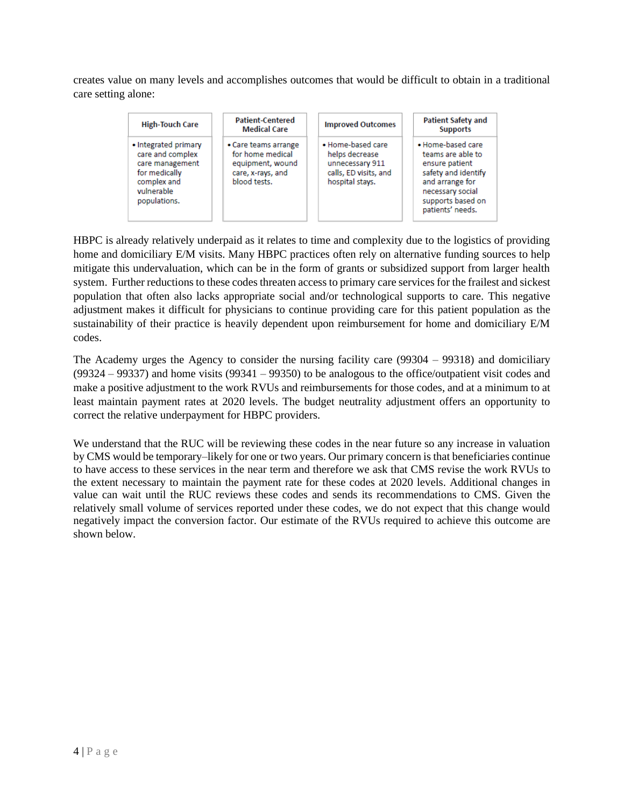creates value on many levels and accomplishes outcomes that would be difficult to obtain in a traditional care setting alone:



HBPC is already relatively underpaid as it relates to time and complexity due to the logistics of providing home and domiciliary E/M visits. Many HBPC practices often rely on alternative funding sources to help mitigate this undervaluation, which can be in the form of grants or subsidized support from larger health system. Further reductions to these codes threaten access to primary care services for the frailest and sickest population that often also lacks appropriate social and/or technological supports to care. This negative adjustment makes it difficult for physicians to continue providing care for this patient population as the sustainability of their practice is heavily dependent upon reimbursement for home and domiciliary E/M codes.

The Academy urges the Agency to consider the nursing facility care (99304 – 99318) and domiciliary (99324 – 99337) and home visits (99341 – 99350) to be analogous to the office/outpatient visit codes and make a positive adjustment to the work RVUs and reimbursements for those codes, and at a minimum to at least maintain payment rates at 2020 levels. The budget neutrality adjustment offers an opportunity to correct the relative underpayment for HBPC providers.

We understand that the RUC will be reviewing these codes in the near future so any increase in valuation by CMS would be temporary–likely for one or two years. Our primary concern is that beneficiaries continue to have access to these services in the near term and therefore we ask that CMS revise the work RVUs to the extent necessary to maintain the payment rate for these codes at 2020 levels. Additional changes in value can wait until the RUC reviews these codes and sends its recommendations to CMS. Given the relatively small volume of services reported under these codes, we do not expect that this change would negatively impact the conversion factor. Our estimate of the RVUs required to achieve this outcome are shown below.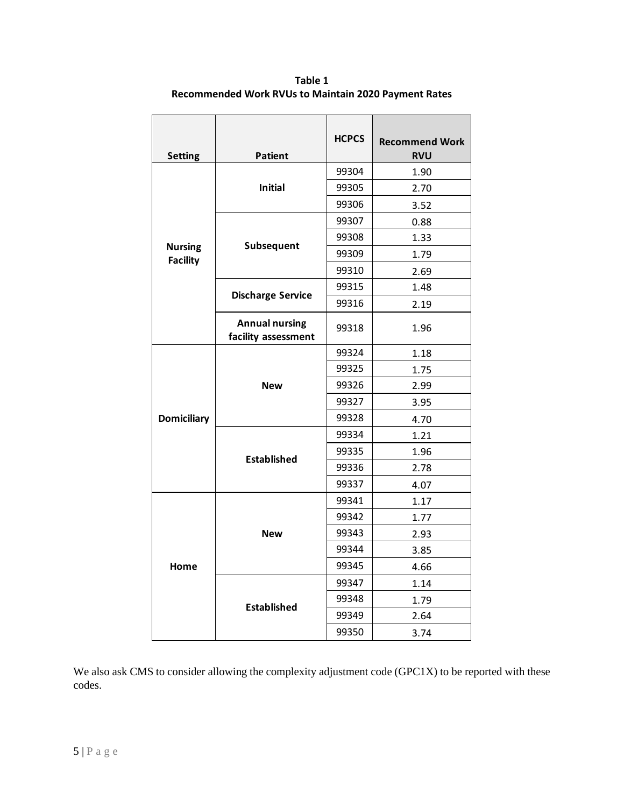| <b>Setting</b>                    | <b>Patient</b>                               | <b>HCPCS</b> | <b>Recommend Work</b><br><b>RVU</b> |
|-----------------------------------|----------------------------------------------|--------------|-------------------------------------|
| <b>Nursing</b><br><b>Facility</b> |                                              | 99304        | 1.90                                |
|                                   | <b>Initial</b>                               | 99305        | 2.70                                |
|                                   |                                              | 99306        | 3.52                                |
|                                   |                                              | 99307        | 0.88                                |
|                                   |                                              | 99308        | 1.33                                |
|                                   | Subsequent                                   | 99309        | 1.79                                |
|                                   |                                              | 99310        | 2.69                                |
|                                   |                                              | 99315        | 1.48                                |
|                                   | <b>Discharge Service</b>                     | 99316        | 2.19                                |
|                                   | <b>Annual nursing</b><br>facility assessment | 99318        | 1.96                                |
| <b>Domiciliary</b>                |                                              | 99324        | 1.18                                |
|                                   |                                              | 99325        | 1.75                                |
|                                   | <b>New</b>                                   | 99326        | 2.99                                |
|                                   |                                              | 99327        | 3.95                                |
|                                   |                                              | 99328        | 4.70                                |
|                                   |                                              | 99334        | 1.21                                |
|                                   | <b>Established</b>                           | 99335        | 1.96                                |
|                                   |                                              | 99336        | 2.78                                |
|                                   |                                              | 99337        | 4.07                                |
| Home                              |                                              | 99341        | 1.17                                |
|                                   |                                              | 99342        | 1.77                                |
|                                   | <b>New</b>                                   | 99343        | 2.93                                |
|                                   |                                              | 99344        | 3.85                                |
|                                   |                                              | 99345        | 4.66                                |
|                                   |                                              | 99347        | 1.14                                |
|                                   | <b>Established</b>                           | 99348        | 1.79                                |
|                                   |                                              | 99349        | 2.64                                |
|                                   |                                              | 99350        | 3.74                                |

**Table 1 Recommended Work RVUs to Maintain 2020 Payment Rates**

We also ask CMS to consider allowing the complexity adjustment code (GPC1X) to be reported with these codes.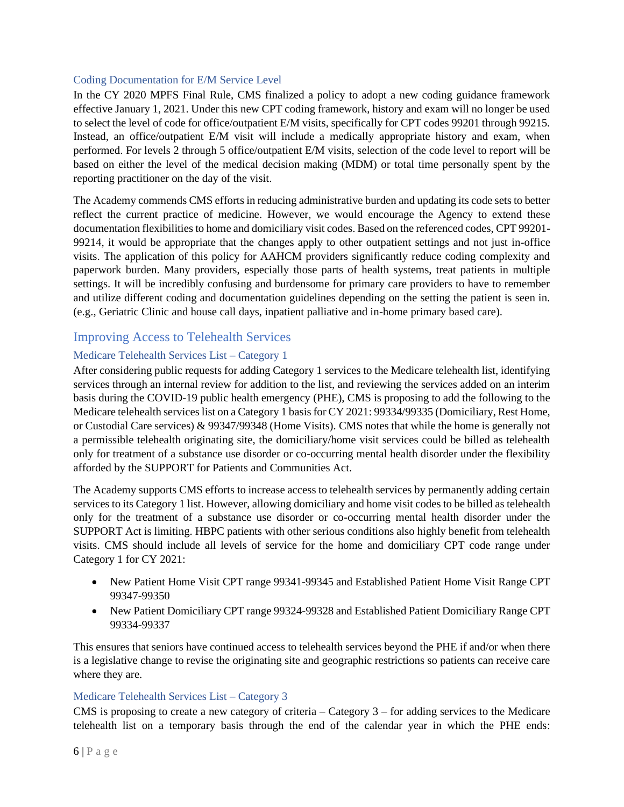#### Coding Documentation for E/M Service Level

In the CY 2020 MPFS Final Rule, CMS finalized a policy to adopt a new coding guidance framework effective January 1, 2021. Under this new CPT coding framework, history and exam will no longer be used to select the level of code for office/outpatient E/M visits, specifically for CPT codes 99201 through 99215. Instead, an office/outpatient E/M visit will include a medically appropriate history and exam, when performed. For levels 2 through 5 office/outpatient E/M visits, selection of the code level to report will be based on either the level of the medical decision making (MDM) or total time personally spent by the reporting practitioner on the day of the visit.

The Academy commends CMS efforts in reducing administrative burden and updating its code sets to better reflect the current practice of medicine. However, we would encourage the Agency to extend these documentation flexibilities to home and domiciliary visit codes. Based on the referenced codes, CPT 99201- 99214, it would be appropriate that the changes apply to other outpatient settings and not just in-office visits. The application of this policy for AAHCM providers significantly reduce coding complexity and paperwork burden. Many providers, especially those parts of health systems, treat patients in multiple settings. It will be incredibly confusing and burdensome for primary care providers to have to remember and utilize different coding and documentation guidelines depending on the setting the patient is seen in. (e.g., Geriatric Clinic and house call days, inpatient palliative and in-home primary based care).

### Improving Access to Telehealth Services

### Medicare Telehealth Services List – Category 1

After considering public requests for adding Category 1 services to the Medicare telehealth list, identifying services through an internal review for addition to the list, and reviewing the services added on an interim basis during the COVID-19 public health emergency (PHE), CMS is proposing to add the following to the Medicare telehealth services list on a Category 1 basis for CY 2021: 99334/99335 (Domiciliary, Rest Home, or Custodial Care services) & 99347/99348 (Home Visits). CMS notes that while the home is generally not a permissible telehealth originating site, the domiciliary/home visit services could be billed as telehealth only for treatment of a substance use disorder or co-occurring mental health disorder under the flexibility afforded by the SUPPORT for Patients and Communities Act.

The Academy supports CMS efforts to increase access to telehealth services by permanently adding certain services to its Category 1 list. However, allowing domiciliary and home visit codes to be billed as telehealth only for the treatment of a substance use disorder or co-occurring mental health disorder under the SUPPORT Act is limiting. HBPC patients with other serious conditions also highly benefit from telehealth visits. CMS should include all levels of service for the home and domiciliary CPT code range under Category 1 for CY 2021:

- New Patient Home Visit CPT range 99341-99345 and Established Patient Home Visit Range CPT 99347-99350
- New Patient Domiciliary CPT range 99324-99328 and Established Patient Domiciliary Range CPT 99334-99337

This ensures that seniors have continued access to telehealth services beyond the PHE if and/or when there is a legislative change to revise the originating site and geographic restrictions so patients can receive care where they are.

### Medicare Telehealth Services List – Category 3

CMS is proposing to create a new category of criteria – Category 3 – for adding services to the Medicare telehealth list on a temporary basis through the end of the calendar year in which the PHE ends: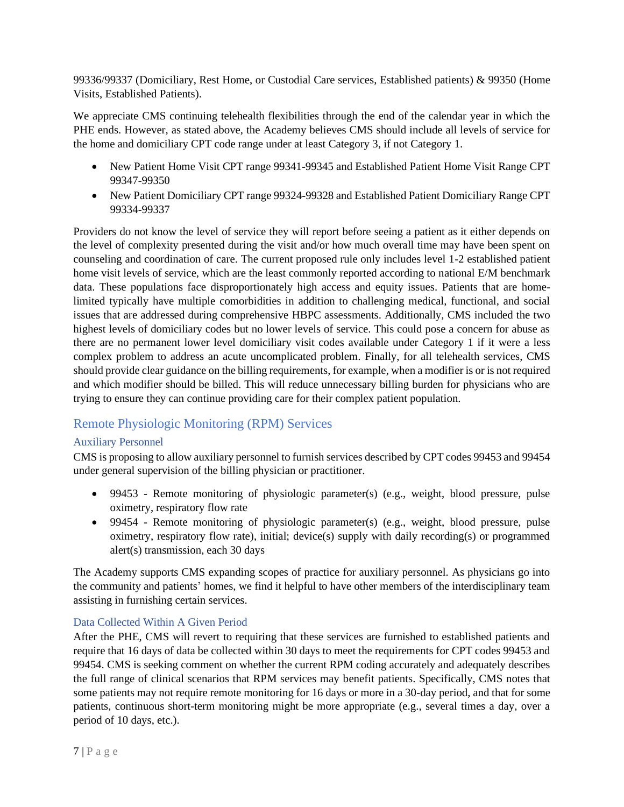99336/99337 (Domiciliary, Rest Home, or Custodial Care services, Established patients) & 99350 (Home Visits, Established Patients).

We appreciate CMS continuing telehealth flexibilities through the end of the calendar year in which the PHE ends. However, as stated above, the Academy believes CMS should include all levels of service for the home and domiciliary CPT code range under at least Category 3, if not Category 1.

- New Patient Home Visit CPT range 99341-99345 and Established Patient Home Visit Range CPT 99347-99350
- New Patient Domiciliary CPT range 99324-99328 and Established Patient Domiciliary Range CPT 99334-99337

Providers do not know the level of service they will report before seeing a patient as it either depends on the level of complexity presented during the visit and/or how much overall time may have been spent on counseling and coordination of care. The current proposed rule only includes level 1-2 established patient home visit levels of service, which are the least commonly reported according to national E/M benchmark data. These populations face disproportionately high access and equity issues. Patients that are homelimited typically have multiple comorbidities in addition to challenging medical, functional, and social issues that are addressed during comprehensive HBPC assessments. Additionally, CMS included the two highest levels of domiciliary codes but no lower levels of service. This could pose a concern for abuse as there are no permanent lower level domiciliary visit codes available under Category 1 if it were a less complex problem to address an acute uncomplicated problem. Finally, for all telehealth services, CMS should provide clear guidance on the billing requirements, for example, when a modifier is or is not required and which modifier should be billed. This will reduce unnecessary billing burden for physicians who are trying to ensure they can continue providing care for their complex patient population.

# Remote Physiologic Monitoring (RPM) Services

## Auxiliary Personnel

CMS is proposing to allow auxiliary personnel to furnish services described by CPT codes 99453 and 99454 under general supervision of the billing physician or practitioner.

- 99453 Remote monitoring of physiologic parameter(s) (e.g., weight, blood pressure, pulse oximetry, respiratory flow rate
- 99454 Remote monitoring of physiologic parameter(s) (e.g., weight, blood pressure, pulse oximetry, respiratory flow rate), initial; device(s) supply with daily recording(s) or programmed alert(s) transmission, each 30 days

The Academy supports CMS expanding scopes of practice for auxiliary personnel. As physicians go into the community and patients' homes, we find it helpful to have other members of the interdisciplinary team assisting in furnishing certain services.

## Data Collected Within A Given Period

After the PHE, CMS will revert to requiring that these services are furnished to established patients and require that 16 days of data be collected within 30 days to meet the requirements for CPT codes 99453 and 99454. CMS is seeking comment on whether the current RPM coding accurately and adequately describes the full range of clinical scenarios that RPM services may benefit patients. Specifically, CMS notes that some patients may not require remote monitoring for 16 days or more in a 30-day period, and that for some patients, continuous short-term monitoring might be more appropriate (e.g., several times a day, over a period of 10 days, etc.).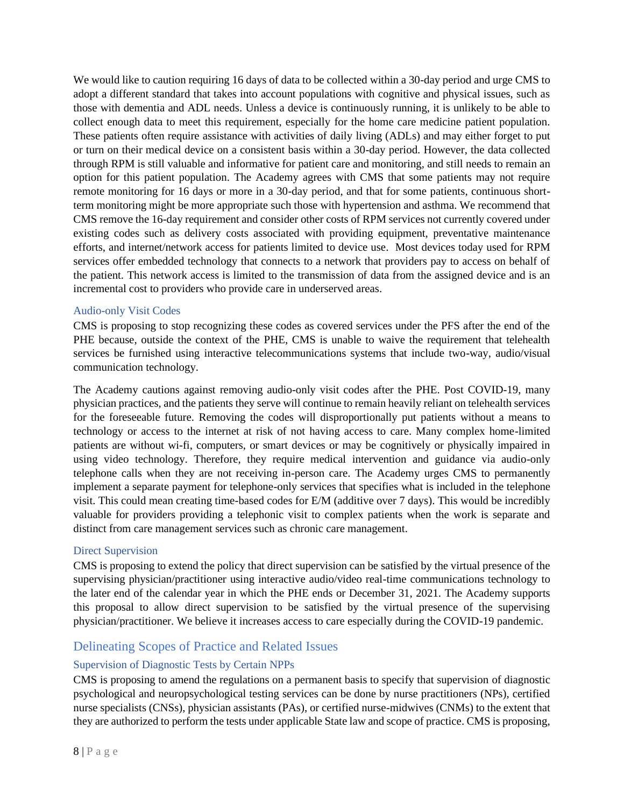We would like to caution requiring 16 days of data to be collected within a 30-day period and urge CMS to adopt a different standard that takes into account populations with cognitive and physical issues, such as those with dementia and ADL needs. Unless a device is continuously running, it is unlikely to be able to collect enough data to meet this requirement, especially for the home care medicine patient population. These patients often require assistance with activities of daily living (ADLs) and may either forget to put or turn on their medical device on a consistent basis within a 30-day period. However, the data collected through RPM is still valuable and informative for patient care and monitoring, and still needs to remain an option for this patient population. The Academy agrees with CMS that some patients may not require remote monitoring for 16 days or more in a 30-day period, and that for some patients, continuous shortterm monitoring might be more appropriate such those with hypertension and asthma. We recommend that CMS remove the 16-day requirement and consider other costs of RPM services not currently covered under existing codes such as delivery costs associated with providing equipment, preventative maintenance efforts, and internet/network access for patients limited to device use. Most devices today used for RPM services offer embedded technology that connects to a network that providers pay to access on behalf of the patient. This network access is limited to the transmission of data from the assigned device and is an incremental cost to providers who provide care in underserved areas.

### Audio-only Visit Codes

CMS is proposing to stop recognizing these codes as covered services under the PFS after the end of the PHE because, outside the context of the PHE, CMS is unable to waive the requirement that telehealth services be furnished using interactive telecommunications systems that include two-way, audio/visual communication technology.

The Academy cautions against removing audio-only visit codes after the PHE. Post COVID-19, many physician practices, and the patients they serve will continue to remain heavily reliant on telehealth services for the foreseeable future. Removing the codes will disproportionally put patients without a means to technology or access to the internet at risk of not having access to care. Many complex home-limited patients are without wi-fi, computers, or smart devices or may be cognitively or physically impaired in using video technology. Therefore, they require medical intervention and guidance via audio-only telephone calls when they are not receiving in-person care. The Academy urges CMS to permanently implement a separate payment for telephone-only services that specifies what is included in the telephone visit. This could mean creating time-based codes for E/M (additive over 7 days). This would be incredibly valuable for providers providing a telephonic visit to complex patients when the work is separate and distinct from care management services such as chronic care management.

### Direct Supervision

CMS is proposing to extend the policy that direct supervision can be satisfied by the virtual presence of the supervising physician/practitioner using interactive audio/video real-time communications technology to the later end of the calendar year in which the PHE ends or December 31, 2021. The Academy supports this proposal to allow direct supervision to be satisfied by the virtual presence of the supervising physician/practitioner. We believe it increases access to care especially during the COVID-19 pandemic.

## Delineating Scopes of Practice and Related Issues

## Supervision of Diagnostic Tests by Certain NPPs

CMS is proposing to amend the regulations on a permanent basis to specify that supervision of diagnostic psychological and neuropsychological testing services can be done by nurse practitioners (NPs), certified nurse specialists (CNSs), physician assistants (PAs), or certified nurse-midwives (CNMs) to the extent that they are authorized to perform the tests under applicable State law and scope of practice. CMS is proposing,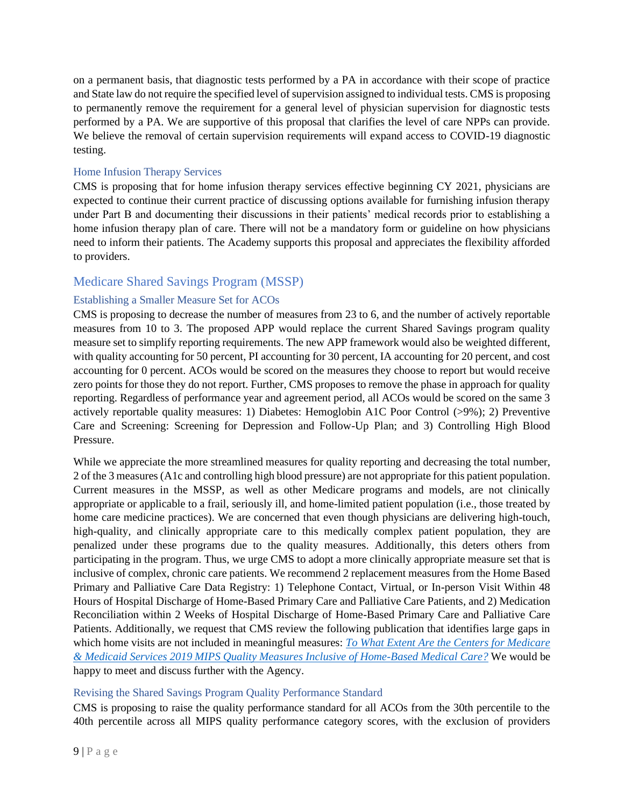on a permanent basis, that diagnostic tests performed by a PA in accordance with their scope of practice and State law do not require the specified level of supervision assigned to individual tests. CMS is proposing to permanently remove the requirement for a general level of physician supervision for diagnostic tests performed by a PA. We are supportive of this proposal that clarifies the level of care NPPs can provide. We believe the removal of certain supervision requirements will expand access to COVID-19 diagnostic testing.

#### Home Infusion Therapy Services

CMS is proposing that for home infusion therapy services effective beginning CY 2021, physicians are expected to continue their current practice of discussing options available for furnishing infusion therapy under Part B and documenting their discussions in their patients' medical records prior to establishing a home infusion therapy plan of care. There will not be a mandatory form or guideline on how physicians need to inform their patients. The Academy supports this proposal and appreciates the flexibility afforded to providers.

## Medicare Shared Savings Program (MSSP)

### Establishing a Smaller Measure Set for ACOs

CMS is proposing to decrease the number of measures from 23 to 6, and the number of actively reportable measures from 10 to 3. The proposed APP would replace the current Shared Savings program quality measure set to simplify reporting requirements. The new APP framework would also be weighted different, with quality accounting for 50 percent, PI accounting for 30 percent, IA accounting for 20 percent, and cost accounting for 0 percent. ACOs would be scored on the measures they choose to report but would receive zero points for those they do not report. Further, CMS proposes to remove the phase in approach for quality reporting. Regardless of performance year and agreement period, all ACOs would be scored on the same 3 actively reportable quality measures: 1) Diabetes: Hemoglobin A1C Poor Control (>9%); 2) Preventive Care and Screening: Screening for Depression and Follow-Up Plan; and 3) Controlling High Blood Pressure.

While we appreciate the more streamlined measures for quality reporting and decreasing the total number, 2 of the 3 measures (A1c and controlling high blood pressure) are not appropriate for this patient population. Current measures in the MSSP, as well as other Medicare programs and models, are not clinically appropriate or applicable to a frail, seriously ill, and home-limited patient population (i.e., those treated by home care medicine practices). We are concerned that even though physicians are delivering high-touch, high-quality, and clinically appropriate care to this medically complex patient population, they are penalized under these programs due to the quality measures. Additionally, this deters others from participating in the program. Thus, we urge CMS to adopt a more clinically appropriate measure set that is inclusive of complex, chronic care patients. We recommend 2 replacement measures from the Home Based Primary and Palliative Care Data Registry: 1) Telephone Contact, Virtual, or In-person Visit Within 48 Hours of Hospital Discharge of Home-Based Primary Care and Palliative Care Patients, and 2) Medication Reconciliation within 2 Weeks of Hospital Discharge of Home-Based Primary Care and Palliative Care Patients. Additionally, we request that CMS review the following publication that identifies large gaps in which home visits are not included in meaningful measures: *[To What Extent Are the Centers for Medicare](https://www.acpjournals.org/doi/pdf/10.7326/M20-0235)  [& Medicaid Services 2019 MIPS Quality Measures Inclusive of Home-Based Medical Care?](https://www.acpjournals.org/doi/pdf/10.7326/M20-0235)* We would be happy to meet and discuss further with the Agency.

### Revising the Shared Savings Program Quality Performance Standard

CMS is proposing to raise the quality performance standard for all ACOs from the 30th percentile to the 40th percentile across all MIPS quality performance category scores, with the exclusion of providers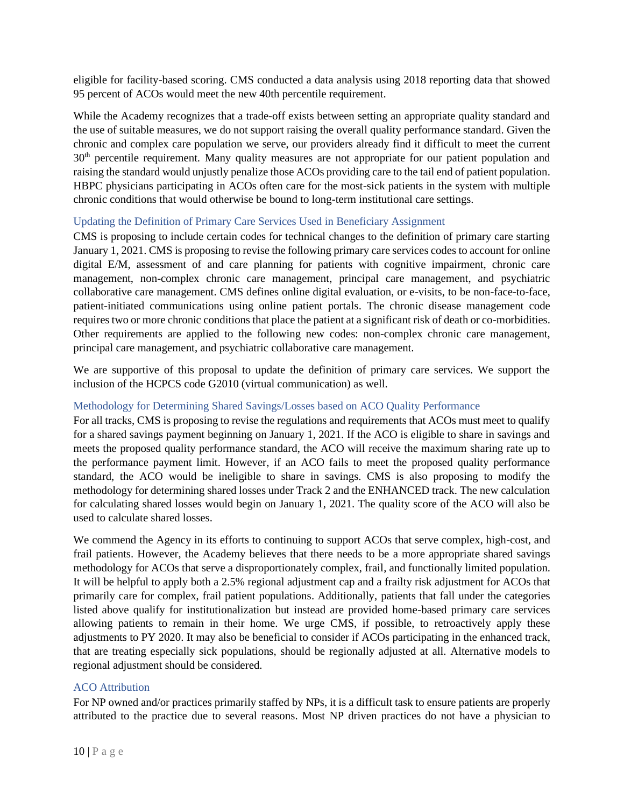eligible for facility-based scoring. CMS conducted a data analysis using 2018 reporting data that showed 95 percent of ACOs would meet the new 40th percentile requirement.

While the Academy recognizes that a trade-off exists between setting an appropriate quality standard and the use of suitable measures, we do not support raising the overall quality performance standard. Given the chronic and complex care population we serve, our providers already find it difficult to meet the current 30<sup>th</sup> percentile requirement. Many quality measures are not appropriate for our patient population and raising the standard would unjustly penalize those ACOs providing care to the tail end of patient population. HBPC physicians participating in ACOs often care for the most-sick patients in the system with multiple chronic conditions that would otherwise be bound to long-term institutional care settings.

### Updating the Definition of Primary Care Services Used in Beneficiary Assignment

CMS is proposing to include certain codes for technical changes to the definition of primary care starting January 1, 2021. CMS is proposing to revise the following primary care services codes to account for online digital E/M, assessment of and care planning for patients with cognitive impairment, chronic care management, non-complex chronic care management, principal care management, and psychiatric collaborative care management. CMS defines online digital evaluation, or e-visits, to be non-face-to-face, patient-initiated communications using online patient portals. The chronic disease management code requires two or more chronic conditions that place the patient at a significant risk of death or co-morbidities. Other requirements are applied to the following new codes: non-complex chronic care management, principal care management, and psychiatric collaborative care management.

We are supportive of this proposal to update the definition of primary care services. We support the inclusion of the HCPCS code G2010 (virtual communication) as well.

### Methodology for Determining Shared Savings/Losses based on ACO Quality Performance

For all tracks, CMS is proposing to revise the regulations and requirements that ACOs must meet to qualify for a shared savings payment beginning on January 1, 2021. If the ACO is eligible to share in savings and meets the proposed quality performance standard, the ACO will receive the maximum sharing rate up to the performance payment limit. However, if an ACO fails to meet the proposed quality performance standard, the ACO would be ineligible to share in savings. CMS is also proposing to modify the methodology for determining shared losses under Track 2 and the ENHANCED track. The new calculation for calculating shared losses would begin on January 1, 2021. The quality score of the ACO will also be used to calculate shared losses.

We commend the Agency in its efforts to continuing to support ACOs that serve complex, high-cost, and frail patients. However, the Academy believes that there needs to be a more appropriate shared savings methodology for ACOs that serve a disproportionately complex, frail, and functionally limited population. It will be helpful to apply both a 2.5% regional adjustment cap and a frailty risk adjustment for ACOs that primarily care for complex, frail patient populations. Additionally, patients that fall under the categories listed above qualify for institutionalization but instead are provided home-based primary care services allowing patients to remain in their home. We urge CMS, if possible, to retroactively apply these adjustments to PY 2020. It may also be beneficial to consider if ACOs participating in the enhanced track, that are treating especially sick populations, should be regionally adjusted at all. Alternative models to regional adjustment should be considered.

### ACO Attribution

For NP owned and/or practices primarily staffed by NPs, it is a difficult task to ensure patients are properly attributed to the practice due to several reasons. Most NP driven practices do not have a physician to